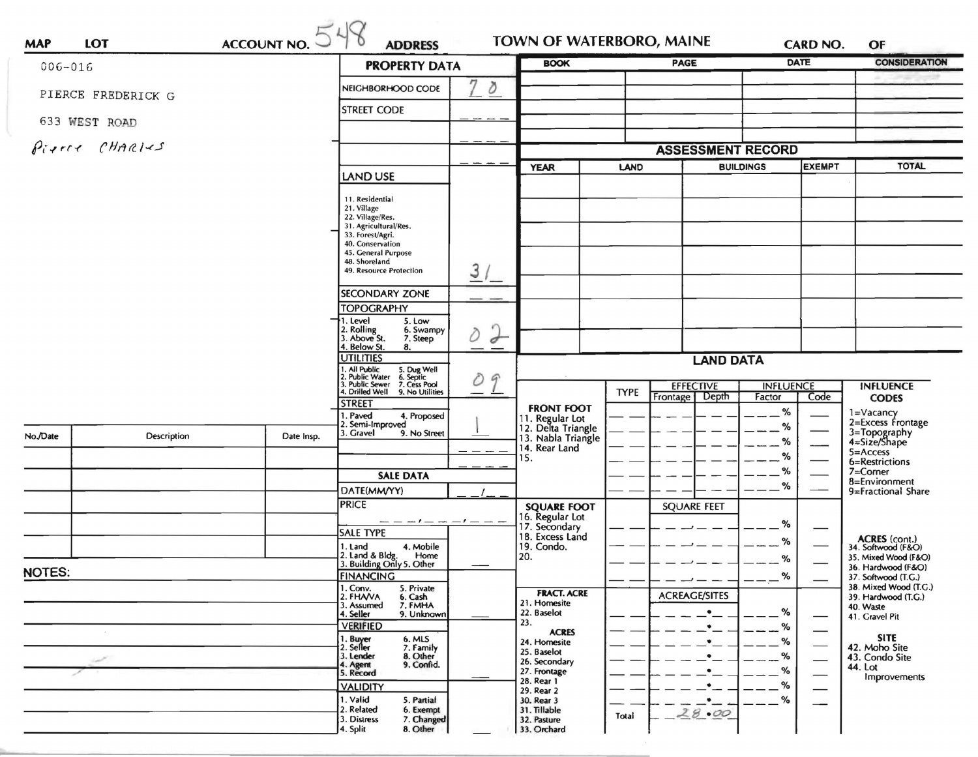|                    |                | ACCOUNTNO. 548 | <b>PROPERTY DATA</b>                                                                                                                                                                   |                     | TOWN OF WATERBORO, MAINE<br><b>BOOK</b>                     |                                                     | <b>CARD NO.</b><br><b>DATE</b><br>PAGE |               | <b>CONSIDERATION</b>                                                       |  |
|--------------------|----------------|----------------|----------------------------------------------------------------------------------------------------------------------------------------------------------------------------------------|---------------------|-------------------------------------------------------------|-----------------------------------------------------|----------------------------------------|---------------|----------------------------------------------------------------------------|--|
| $006 - 016$        |                |                |                                                                                                                                                                                        | m                   |                                                             |                                                     |                                        |               |                                                                            |  |
| PIERCE FREDERICK G |                |                | NEIGHBORHOOD CODE                                                                                                                                                                      | ð                   |                                                             |                                                     |                                        |               |                                                                            |  |
|                    | 633 WEST ROAD  |                | <b>STREET CODE</b>                                                                                                                                                                     |                     |                                                             |                                                     |                                        |               |                                                                            |  |
|                    | Pirree CHARIES |                |                                                                                                                                                                                        |                     | <b>ASSESSMENT RECORD</b>                                    |                                                     |                                        |               |                                                                            |  |
|                    |                |                |                                                                                                                                                                                        |                     | <b>YEAR</b>                                                 | LAND                                                | <b>BUILDINGS</b>                       | <b>EXEMPT</b> | <b>TOTAL</b>                                                               |  |
|                    |                |                | <b>LAND USE</b>                                                                                                                                                                        |                     |                                                             |                                                     |                                        |               |                                                                            |  |
|                    |                |                | 11. Residential<br>21. Village<br>22. Village/Res.<br>31. Agricultural/Res.<br>33. Forest/Agri.<br>40. Conservation<br>45. General Purpose<br>48. Shoreland<br>49. Resource Protection | 3/                  |                                                             |                                                     |                                        |               |                                                                            |  |
|                    |                |                | <b>SECONDARY ZONE</b>                                                                                                                                                                  |                     |                                                             |                                                     |                                        |               |                                                                            |  |
|                    |                |                | <b>TOPOGRAPHY</b>                                                                                                                                                                      |                     |                                                             |                                                     |                                        |               |                                                                            |  |
|                    |                |                | 1. Level<br>5. Low<br>2. Rolling<br>3. Above St.<br>6. Swampy<br>7. Steep                                                                                                              | $\overline{\sigma}$ |                                                             |                                                     |                                        |               |                                                                            |  |
|                    |                |                | 4. Below St.<br>8.<br><b>UTILITIES</b>                                                                                                                                                 |                     | <b>LAND DATA</b>                                            |                                                     |                                        |               |                                                                            |  |
|                    |                |                | 1. ou Public 5. Dug Well<br>2. Public Water 6. Septic<br>3. Public Sewer 7. Cess Pool<br>4. Drilled Well 9. No United<br>TTD From                                                      | $\mathcal{G}$<br>D  |                                                             | <b>EFFECTIVE</b><br><b>INFLUENCE</b><br><b>TYPE</b> |                                        |               | <b>INFLUENCE</b>                                                           |  |
|                    |                |                | <b>STREET</b>                                                                                                                                                                          |                     | <b>FRONT FOOT</b>                                           | Frontage                                            | Depth<br>Factor<br>%                   | Code          | <b>CODES</b>                                                               |  |
|                    | Description    |                | 1. Paved<br>4. Proposed<br>2. Semi-Improved                                                                                                                                            |                     | 11. Regular Lot<br>12. Delta Triangle<br>13. Nabla Triangle |                                                     | %                                      |               | 1=Vacancy<br>2=Excess Frontage                                             |  |
| No./Date           |                | Date Insp.     | 3. Gravel<br>9. No Street                                                                                                                                                              |                     |                                                             |                                                     | %                                      |               | 3=Topography<br>4=Size/Shape                                               |  |
|                    |                |                |                                                                                                                                                                                        |                     | 14. Rear Land<br>15.                                        |                                                     | ℅                                      |               | $5 =$ Access<br>6=Restrictions                                             |  |
|                    |                |                | <b>SALE DATA</b>                                                                                                                                                                       |                     |                                                             |                                                     | %                                      |               | 7=Corner                                                                   |  |
|                    |                |                | DATE(MM/YY)                                                                                                                                                                            |                     |                                                             |                                                     | %                                      |               | 8=Environment<br>9=Fractional Share<br>ACRES (cont.)<br>34. Softwood (F&O) |  |
|                    |                |                | <b>PRICE</b>                                                                                                                                                                           |                     | <b>SQUARE FOOT</b>                                          | <b>SQUARE FEET</b>                                  |                                        |               |                                                                            |  |
|                    |                |                |                                                                                                                                                                                        |                     | 16. Regular Lot<br>17. Secondary                            |                                                     | %                                      |               |                                                                            |  |
|                    |                |                | <b>SALE TYPE</b>                                                                                                                                                                       |                     | 18. Excess Land                                             |                                                     | %                                      |               |                                                                            |  |
|                    |                |                | 4. Mobile<br>1. Land<br>2. Land & Bldg. Home<br>3. Building Only 5. Other<br>Home                                                                                                      |                     | 19. Condo.<br>20.                                           |                                                     | %                                      |               | 35. Mixed Wood (F&O)                                                       |  |
| NOTES:             |                |                | <b>FINANCING</b>                                                                                                                                                                       |                     |                                                             |                                                     | %                                      |               | 36. Hardwood (F&O)<br>37. Softwood (T.G.)                                  |  |
|                    |                |                | 1. Conv.<br>5. Private                                                                                                                                                                 |                     | <b>FRACT. ACRE</b>                                          | <b>ACREAGE/SITES</b>                                |                                        |               | 38. Mixed Wood (T.G.)                                                      |  |
|                    |                |                | 2. FHAVA<br>6. Cash<br>3. Assumed<br>7. FMHA                                                                                                                                           |                     | 21. Homesite<br>22. Baselot                                 |                                                     | %                                      |               | 39. Hardwood (T.G.)<br>40. Waste                                           |  |
|                    |                |                | 4. Seller<br>9. Unknown<br><b>VERIFIED</b>                                                                                                                                             |                     | 23.                                                         |                                                     | %                                      |               | 41. Gravel Pit                                                             |  |
|                    |                |                | 1. Buyer<br>2. Seller<br>6. MLS<br>7. Family                                                                                                                                           |                     | <b>ACRES</b><br>24. Homesite                                |                                                     | %                                      |               | <b>SITE</b>                                                                |  |
|                    |                |                | 8. Other<br>3. Lender                                                                                                                                                                  |                     | 25. Baselot<br>26. Secondary                                |                                                     | %                                      |               | 42. Moho Site<br>43. Condo Site                                            |  |
|                    |                |                | 9. Confid.<br>4. Agent<br>5. Record                                                                                                                                                    |                     | 27. Frontage                                                |                                                     | %                                      |               | 44. Lot<br>Improvements                                                    |  |
|                    |                |                | <b>VALIDITY</b>                                                                                                                                                                        |                     | 28. Rear 1<br>29. Rear 2                                    |                                                     | %                                      |               |                                                                            |  |
|                    |                |                | 1. Valid<br>5. Partial                                                                                                                                                                 |                     | 30. Rear 3<br>31. Tillable                                  |                                                     | %<br>$\bullet$                         |               |                                                                            |  |
|                    |                |                | 2. Related<br>6. Exempt                                                                                                                                                                |                     |                                                             | 28.00                                               |                                        |               |                                                                            |  |